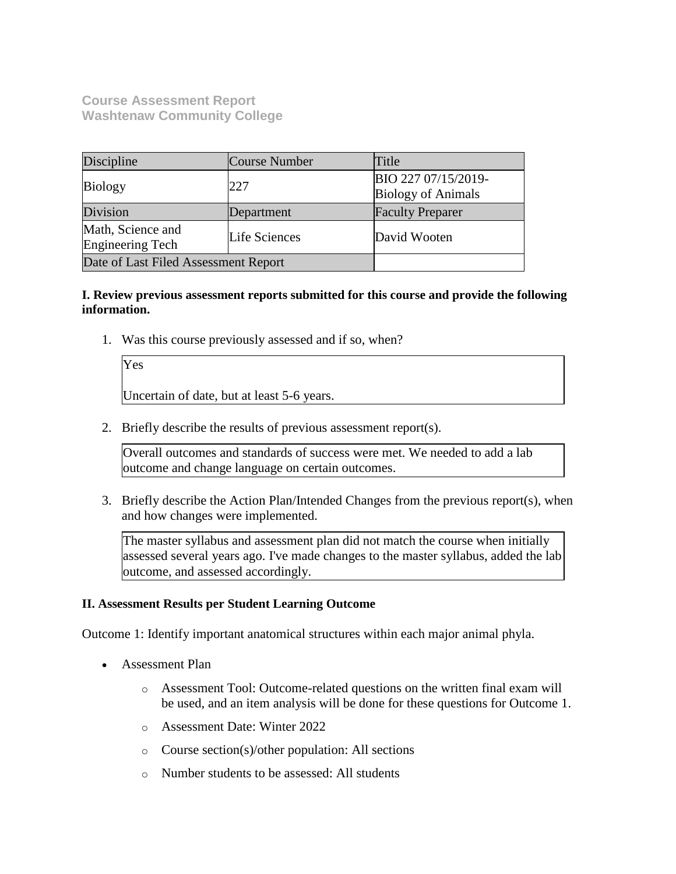**Course Assessment Report Washtenaw Community College**

| Discipline                                   | <b>Course Number</b> | Title                                            |
|----------------------------------------------|----------------------|--------------------------------------------------|
| <b>Biology</b>                               | 227                  | BIO 227 07/15/2019-<br><b>Biology of Animals</b> |
| Division                                     | Department           | <b>Faculty Preparer</b>                          |
| Math, Science and<br><b>Engineering Tech</b> | Life Sciences        | David Wooten                                     |
| Date of Last Filed Assessment Report         |                      |                                                  |

## **I. Review previous assessment reports submitted for this course and provide the following information.**

1. Was this course previously assessed and if so, when?

Yes Uncertain of date, but at least 5-6 years.

2. Briefly describe the results of previous assessment report(s).

Overall outcomes and standards of success were met. We needed to add a lab outcome and change language on certain outcomes.

3. Briefly describe the Action Plan/Intended Changes from the previous report(s), when and how changes were implemented.

The master syllabus and assessment plan did not match the course when initially assessed several years ago. I've made changes to the master syllabus, added the lab outcome, and assessed accordingly.

### **II. Assessment Results per Student Learning Outcome**

Outcome 1: Identify important anatomical structures within each major animal phyla.

- Assessment Plan
	- o Assessment Tool: Outcome-related questions on the written final exam will be used, and an item analysis will be done for these questions for Outcome 1.
	- o Assessment Date: Winter 2022
	- o Course section(s)/other population: All sections
	- o Number students to be assessed: All students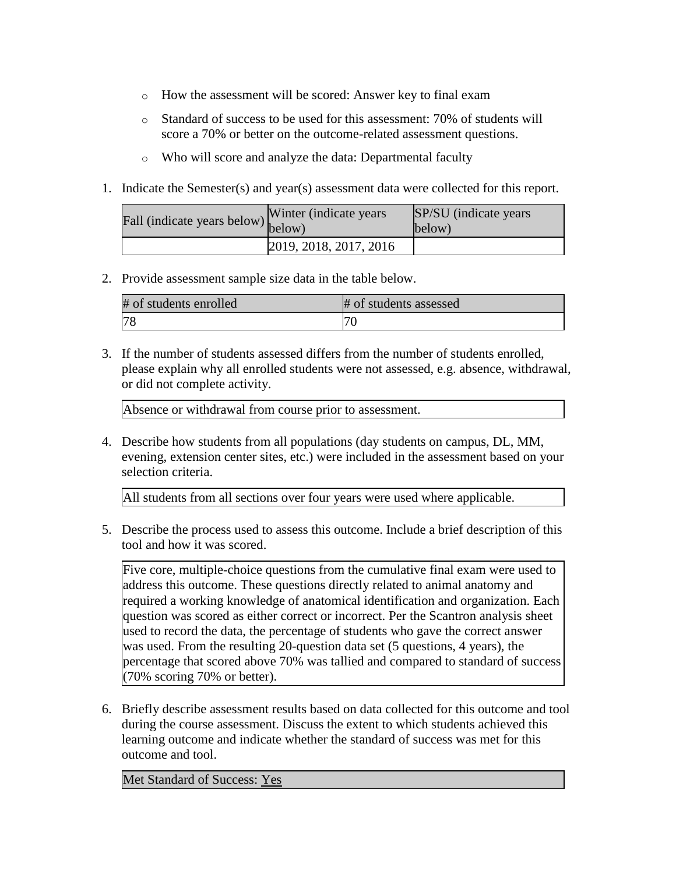- o How the assessment will be scored: Answer key to final exam
- o Standard of success to be used for this assessment: 70% of students will score a 70% or better on the outcome-related assessment questions.
- o Who will score and analyze the data: Departmental faculty
- 1. Indicate the Semester(s) and year(s) assessment data were collected for this report.

| Fall (indicate years below) below) | Winter (indicate years) | SP/SU (indicate years)<br>below) |
|------------------------------------|-------------------------|----------------------------------|
|                                    | 2019, 2018, 2017, 2016  |                                  |

2. Provide assessment sample size data in the table below.

| # of students enrolled | # of students assessed |
|------------------------|------------------------|
|                        | ⇁                      |

3. If the number of students assessed differs from the number of students enrolled, please explain why all enrolled students were not assessed, e.g. absence, withdrawal, or did not complete activity.

Absence or withdrawal from course prior to assessment.

4. Describe how students from all populations (day students on campus, DL, MM, evening, extension center sites, etc.) were included in the assessment based on your selection criteria.

All students from all sections over four years were used where applicable.

5. Describe the process used to assess this outcome. Include a brief description of this tool and how it was scored.

Five core, multiple-choice questions from the cumulative final exam were used to address this outcome. These questions directly related to animal anatomy and required a working knowledge of anatomical identification and organization. Each question was scored as either correct or incorrect. Per the Scantron analysis sheet used to record the data, the percentage of students who gave the correct answer was used. From the resulting 20-question data set (5 questions, 4 years), the percentage that scored above 70% was tallied and compared to standard of success (70% scoring 70% or better).

6. Briefly describe assessment results based on data collected for this outcome and tool during the course assessment. Discuss the extent to which students achieved this learning outcome and indicate whether the standard of success was met for this outcome and tool.

Met Standard of Success: Yes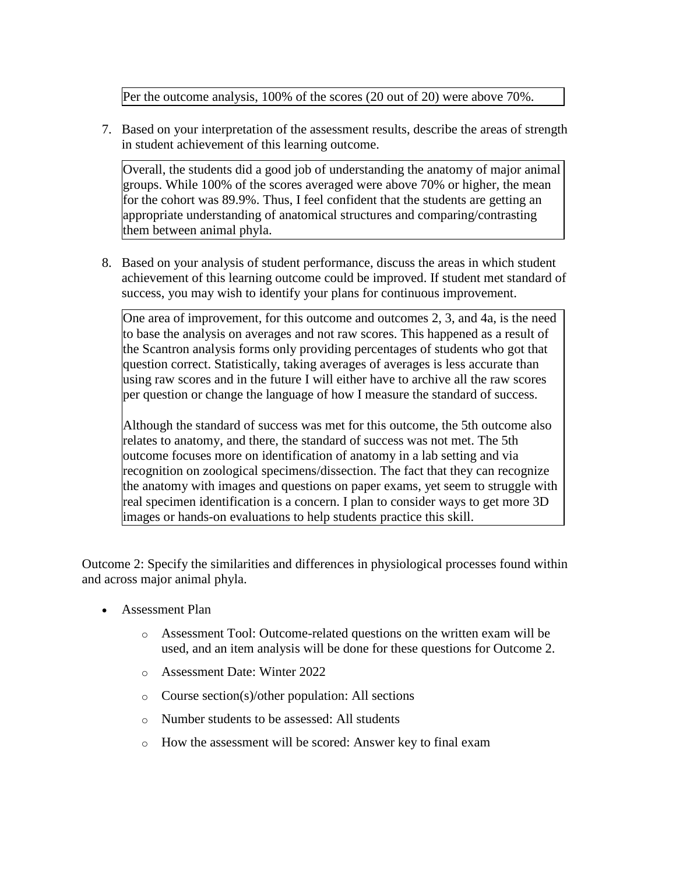Per the outcome analysis, 100% of the scores (20 out of 20) were above 70%.

7. Based on your interpretation of the assessment results, describe the areas of strength in student achievement of this learning outcome.

Overall, the students did a good job of understanding the anatomy of major animal groups. While 100% of the scores averaged were above 70% or higher, the mean for the cohort was 89.9%. Thus, I feel confident that the students are getting an appropriate understanding of anatomical structures and comparing/contrasting them between animal phyla.

8. Based on your analysis of student performance, discuss the areas in which student achievement of this learning outcome could be improved. If student met standard of success, you may wish to identify your plans for continuous improvement.

One area of improvement, for this outcome and outcomes 2, 3, and 4a, is the need to base the analysis on averages and not raw scores. This happened as a result of the Scantron analysis forms only providing percentages of students who got that question correct. Statistically, taking averages of averages is less accurate than using raw scores and in the future I will either have to archive all the raw scores per question or change the language of how I measure the standard of success.

Although the standard of success was met for this outcome, the 5th outcome also relates to anatomy, and there, the standard of success was not met. The 5th outcome focuses more on identification of anatomy in a lab setting and via recognition on zoological specimens/dissection. The fact that they can recognize the anatomy with images and questions on paper exams, yet seem to struggle with real specimen identification is a concern. I plan to consider ways to get more 3D images or hands-on evaluations to help students practice this skill.

Outcome 2: Specify the similarities and differences in physiological processes found within and across major animal phyla.

- Assessment Plan
	- o Assessment Tool: Outcome-related questions on the written exam will be used, and an item analysis will be done for these questions for Outcome 2.
	- o Assessment Date: Winter 2022
	- o Course section(s)/other population: All sections
	- o Number students to be assessed: All students
	- o How the assessment will be scored: Answer key to final exam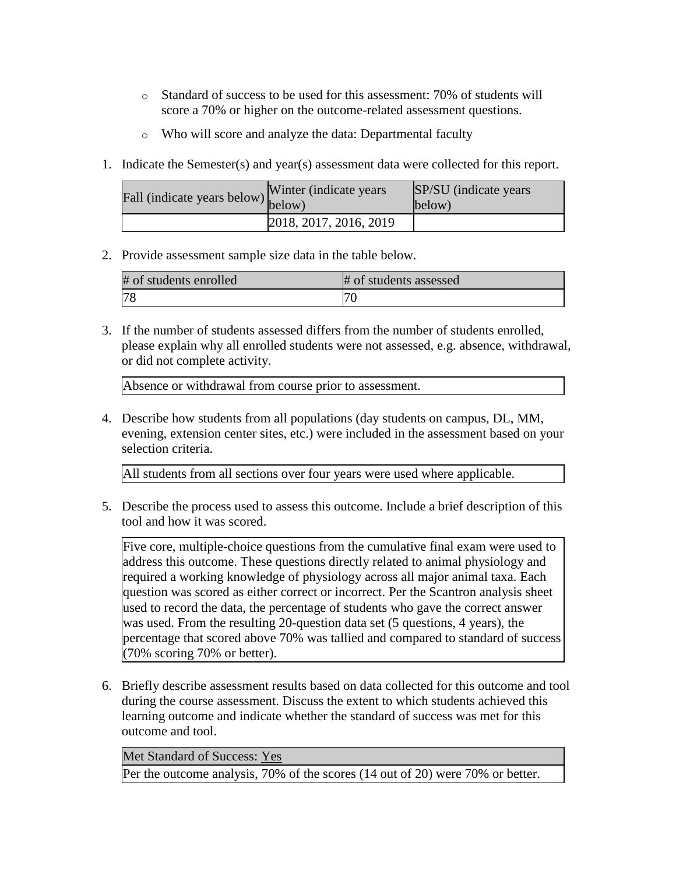- o Standard of success to be used for this assessment: 70% of students will score a 70% or higher on the outcome-related assessment questions.
- o Who will score and analyze the data: Departmental faculty
- 1. Indicate the Semester(s) and year(s) assessment data were collected for this report.

| Fall (indicate years below) below) | Winter (indicate years) | SP/SU (indicate years)<br>below) |
|------------------------------------|-------------------------|----------------------------------|
|                                    | 2018, 2017, 2016, 2019  |                                  |

2. Provide assessment sample size data in the table below.

| # of students enrolled | # of students assessed |
|------------------------|------------------------|
|                        |                        |

3. If the number of students assessed differs from the number of students enrolled, please explain why all enrolled students were not assessed, e.g. absence, withdrawal, or did not complete activity.

Absence or withdrawal from course prior to assessment.

4. Describe how students from all populations (day students on campus, DL, MM, evening, extension center sites, etc.) were included in the assessment based on your selection criteria.

All students from all sections over four years were used where applicable.

5. Describe the process used to assess this outcome. Include a brief description of this tool and how it was scored.

Five core, multiple-choice questions from the cumulative final exam were used to address this outcome. These questions directly related to animal physiology and required a working knowledge of physiology across all major animal taxa. Each question was scored as either correct or incorrect. Per the Scantron analysis sheet used to record the data, the percentage of students who gave the correct answer was used. From the resulting 20-question data set (5 questions, 4 years), the percentage that scored above 70% was tallied and compared to standard of success (70% scoring 70% or better).

6. Briefly describe assessment results based on data collected for this outcome and tool during the course assessment. Discuss the extent to which students achieved this learning outcome and indicate whether the standard of success was met for this outcome and tool.

Met Standard of Success: Yes

Per the outcome analysis, 70% of the scores (14 out of 20) were 70% or better.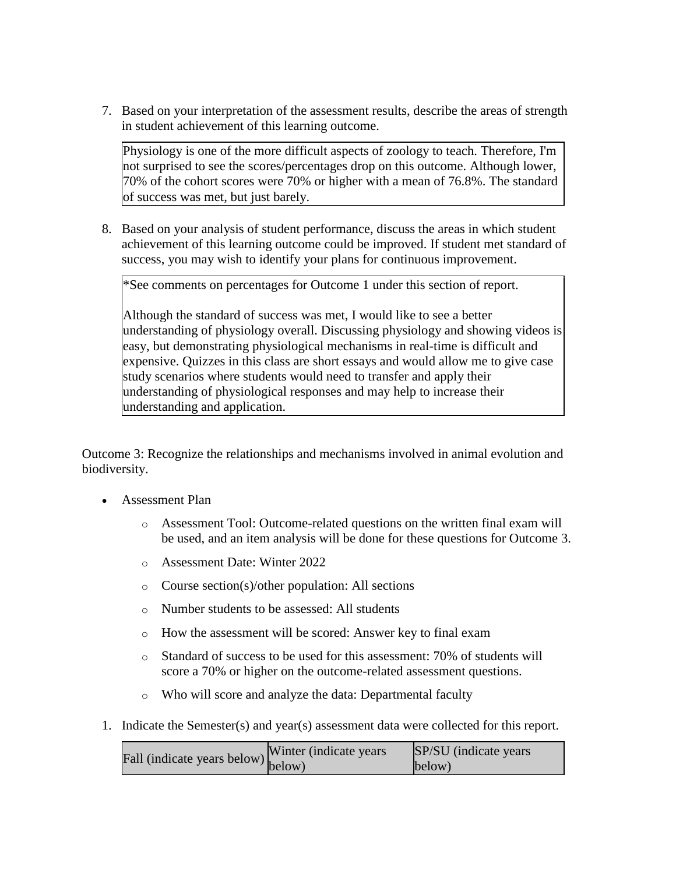7. Based on your interpretation of the assessment results, describe the areas of strength in student achievement of this learning outcome.

Physiology is one of the more difficult aspects of zoology to teach. Therefore, I'm not surprised to see the scores/percentages drop on this outcome. Although lower, 70% of the cohort scores were 70% or higher with a mean of 76.8%. The standard of success was met, but just barely.

8. Based on your analysis of student performance, discuss the areas in which student achievement of this learning outcome could be improved. If student met standard of success, you may wish to identify your plans for continuous improvement.

\*See comments on percentages for Outcome 1 under this section of report.

Although the standard of success was met, I would like to see a better understanding of physiology overall. Discussing physiology and showing videos is easy, but demonstrating physiological mechanisms in real-time is difficult and expensive. Quizzes in this class are short essays and would allow me to give case study scenarios where students would need to transfer and apply their understanding of physiological responses and may help to increase their understanding and application.

Outcome 3: Recognize the relationships and mechanisms involved in animal evolution and biodiversity.

- Assessment Plan
	- o Assessment Tool: Outcome-related questions on the written final exam will be used, and an item analysis will be done for these questions for Outcome 3.
	- o Assessment Date: Winter 2022
	- o Course section(s)/other population: All sections
	- o Number students to be assessed: All students
	- o How the assessment will be scored: Answer key to final exam
	- o Standard of success to be used for this assessment: 70% of students will score a 70% or higher on the outcome-related assessment questions.
	- o Who will score and analyze the data: Departmental faculty
- 1. Indicate the Semester(s) and year(s) assessment data were collected for this report.

| $\text{undicate years below}$ (indicate years below) below) | SP/SU (indicate years) |
|-------------------------------------------------------------|------------------------|
|                                                             | below)                 |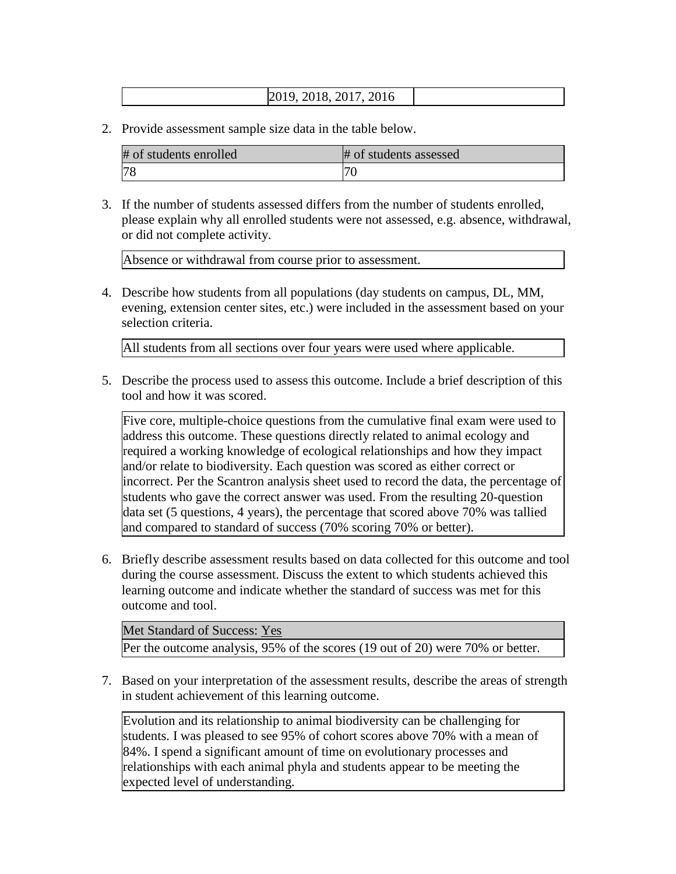## 2019, 2018, 2017, 2016

2. Provide assessment sample size data in the table below.

| # of students enrolled | # of students assessed |
|------------------------|------------------------|
| <b>78</b>              |                        |

3. If the number of students assessed differs from the number of students enrolled, please explain why all enrolled students were not assessed, e.g. absence, withdrawal, or did not complete activity.

Absence or withdrawal from course prior to assessment.

4. Describe how students from all populations (day students on campus, DL, MM, evening, extension center sites, etc.) were included in the assessment based on your selection criteria.

All students from all sections over four years were used where applicable.

5. Describe the process used to assess this outcome. Include a brief description of this tool and how it was scored.

Five core, multiple-choice questions from the cumulative final exam were used to address this outcome. These questions directly related to animal ecology and required a working knowledge of ecological relationships and how they impact and/or relate to biodiversity. Each question was scored as either correct or incorrect. Per the Scantron analysis sheet used to record the data, the percentage of students who gave the correct answer was used. From the resulting 20-question data set (5 questions, 4 years), the percentage that scored above 70% was tallied and compared to standard of success (70% scoring 70% or better).

6. Briefly describe assessment results based on data collected for this outcome and tool during the course assessment. Discuss the extent to which students achieved this learning outcome and indicate whether the standard of success was met for this outcome and tool.

Met Standard of Success: Yes Per the outcome analysis, 95% of the scores (19 out of 20) were 70% or better.

7. Based on your interpretation of the assessment results, describe the areas of strength in student achievement of this learning outcome.

Evolution and its relationship to animal biodiversity can be challenging for students. I was pleased to see 95% of cohort scores above 70% with a mean of 84%. I spend a significant amount of time on evolutionary processes and relationships with each animal phyla and students appear to be meeting the expected level of understanding.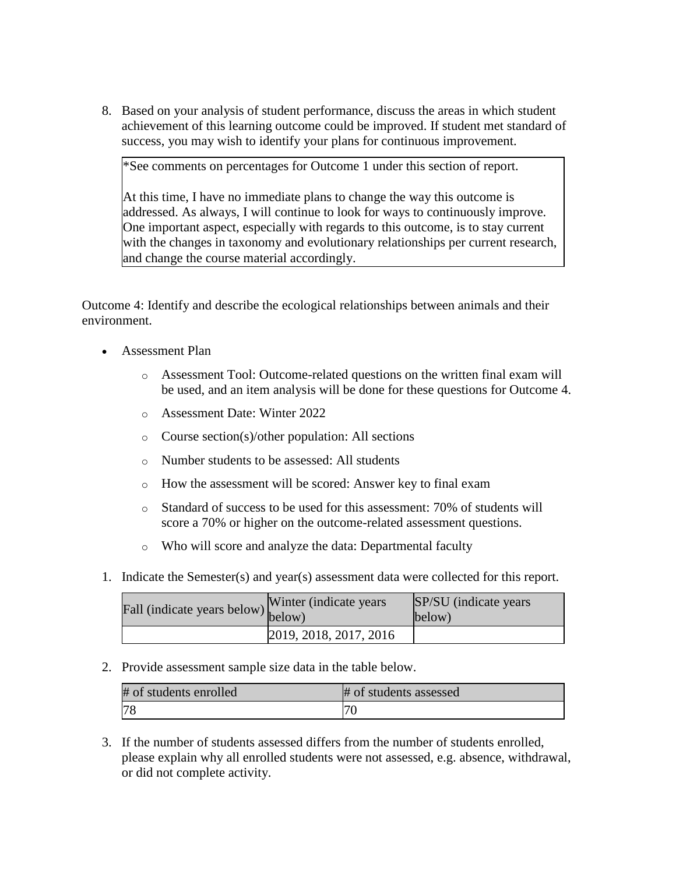8. Based on your analysis of student performance, discuss the areas in which student achievement of this learning outcome could be improved. If student met standard of success, you may wish to identify your plans for continuous improvement.

\*See comments on percentages for Outcome 1 under this section of report.

At this time, I have no immediate plans to change the way this outcome is addressed. As always, I will continue to look for ways to continuously improve. One important aspect, especially with regards to this outcome, is to stay current with the changes in taxonomy and evolutionary relationships per current research, and change the course material accordingly.

Outcome 4: Identify and describe the ecological relationships between animals and their environment.

- Assessment Plan
	- o Assessment Tool: Outcome-related questions on the written final exam will be used, and an item analysis will be done for these questions for Outcome 4.
	- o Assessment Date: Winter 2022
	- o Course section(s)/other population: All sections
	- o Number students to be assessed: All students
	- o How the assessment will be scored: Answer key to final exam
	- o Standard of success to be used for this assessment: 70% of students will score a 70% or higher on the outcome-related assessment questions.
	- o Who will score and analyze the data: Departmental faculty
- 1. Indicate the Semester(s) and year(s) assessment data were collected for this report.

| Fall (indicate years below) $\begin{bmatrix} \text{w}\text{m} \\ \text{below} \end{bmatrix}$ | Winter (indicate years) | SP/SU (indicate years)<br>below) |
|----------------------------------------------------------------------------------------------|-------------------------|----------------------------------|
|                                                                                              | 2019, 2018, 2017, 2016  |                                  |

2. Provide assessment sample size data in the table below.

| # of students enrolled | # of students assessed |
|------------------------|------------------------|
|                        | ∽.                     |

3. If the number of students assessed differs from the number of students enrolled, please explain why all enrolled students were not assessed, e.g. absence, withdrawal, or did not complete activity.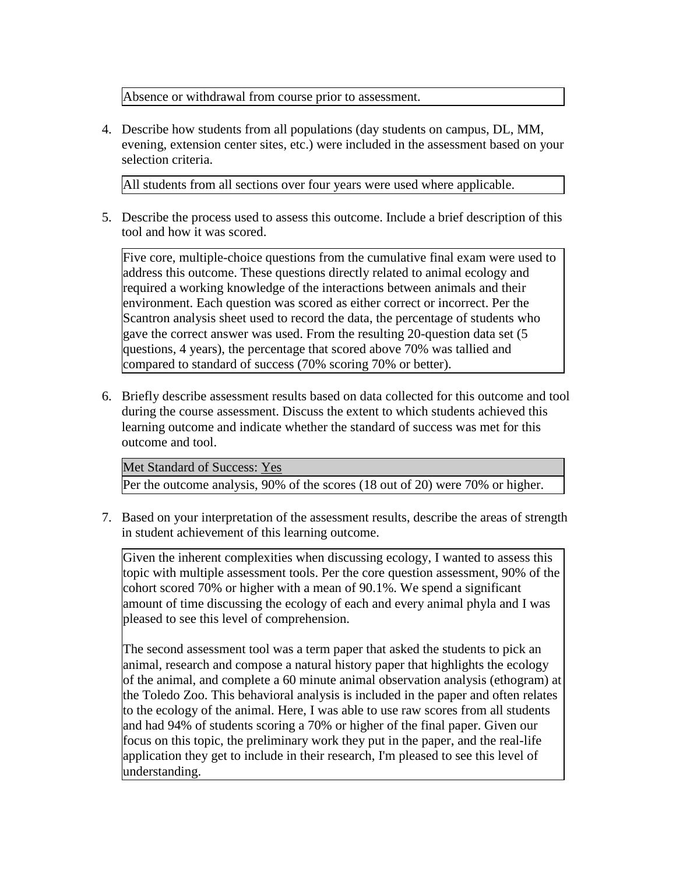Absence or withdrawal from course prior to assessment.

4. Describe how students from all populations (day students on campus, DL, MM, evening, extension center sites, etc.) were included in the assessment based on your selection criteria.

All students from all sections over four years were used where applicable.

5. Describe the process used to assess this outcome. Include a brief description of this tool and how it was scored.

Five core, multiple-choice questions from the cumulative final exam were used to address this outcome. These questions directly related to animal ecology and required a working knowledge of the interactions between animals and their environment. Each question was scored as either correct or incorrect. Per the Scantron analysis sheet used to record the data, the percentage of students who gave the correct answer was used. From the resulting 20-question data set (5 questions, 4 years), the percentage that scored above 70% was tallied and compared to standard of success (70% scoring 70% or better).

6. Briefly describe assessment results based on data collected for this outcome and tool during the course assessment. Discuss the extent to which students achieved this learning outcome and indicate whether the standard of success was met for this outcome and tool.

Met Standard of Success: Yes Per the outcome analysis, 90% of the scores (18 out of 20) were 70% or higher.

7. Based on your interpretation of the assessment results, describe the areas of strength in student achievement of this learning outcome.

Given the inherent complexities when discussing ecology, I wanted to assess this topic with multiple assessment tools. Per the core question assessment, 90% of the cohort scored 70% or higher with a mean of 90.1%. We spend a significant amount of time discussing the ecology of each and every animal phyla and I was pleased to see this level of comprehension.

The second assessment tool was a term paper that asked the students to pick an animal, research and compose a natural history paper that highlights the ecology of the animal, and complete a 60 minute animal observation analysis (ethogram) at the Toledo Zoo. This behavioral analysis is included in the paper and often relates to the ecology of the animal. Here, I was able to use raw scores from all students and had 94% of students scoring a 70% or higher of the final paper. Given our focus on this topic, the preliminary work they put in the paper, and the real-life application they get to include in their research, I'm pleased to see this level of understanding.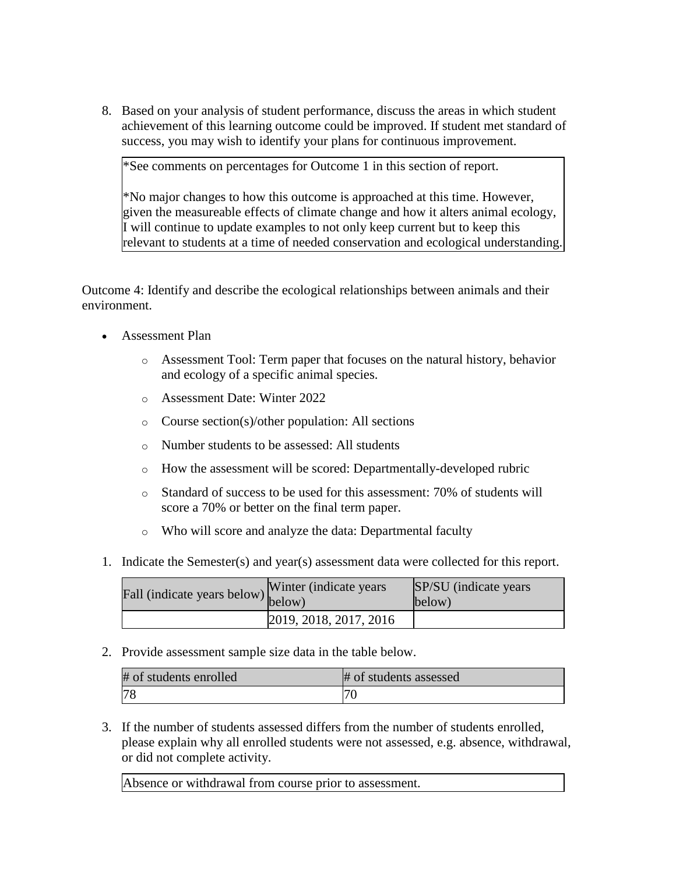8. Based on your analysis of student performance, discuss the areas in which student achievement of this learning outcome could be improved. If student met standard of success, you may wish to identify your plans for continuous improvement.

\*See comments on percentages for Outcome 1 in this section of report.

\*No major changes to how this outcome is approached at this time. However, given the measureable effects of climate change and how it alters animal ecology, I will continue to update examples to not only keep current but to keep this relevant to students at a time of needed conservation and ecological understanding.

Outcome 4: Identify and describe the ecological relationships between animals and their environment.

- Assessment Plan
	- o Assessment Tool: Term paper that focuses on the natural history, behavior and ecology of a specific animal species.
	- o Assessment Date: Winter 2022
	- o Course section(s)/other population: All sections
	- o Number students to be assessed: All students
	- o How the assessment will be scored: Departmentally-developed rubric
	- o Standard of success to be used for this assessment: 70% of students will score a 70% or better on the final term paper.
	- o Who will score and analyze the data: Departmental faculty
- 1. Indicate the Semester(s) and year(s) assessment data were collected for this report.

| $\angle$ all (indicate years below) $\begin{bmatrix} 1 & 1 \\ 1 & 1 \end{bmatrix}$ | Winter (indicate years) | SP/SU (indicate years)<br>below) |
|------------------------------------------------------------------------------------|-------------------------|----------------------------------|
|                                                                                    | 2019, 2018, 2017, 2016  |                                  |

2. Provide assessment sample size data in the table below.

| # of students enrolled | # of students assessed |
|------------------------|------------------------|
|                        | $\mathbf{r}$<br>7 U    |

3. If the number of students assessed differs from the number of students enrolled, please explain why all enrolled students were not assessed, e.g. absence, withdrawal, or did not complete activity.

Absence or withdrawal from course prior to assessment.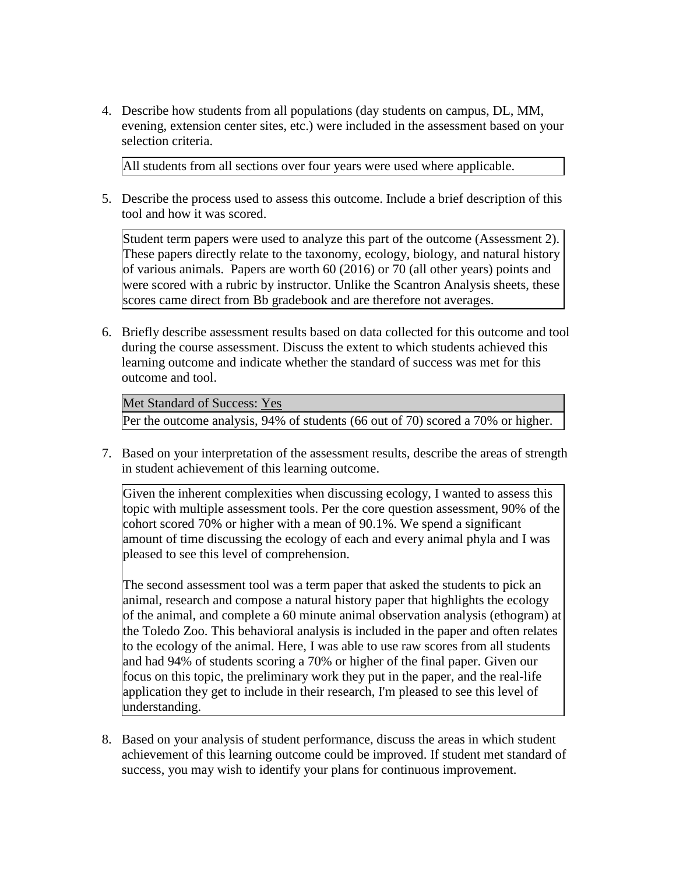4. Describe how students from all populations (day students on campus, DL, MM, evening, extension center sites, etc.) were included in the assessment based on your selection criteria.

All students from all sections over four years were used where applicable.

5. Describe the process used to assess this outcome. Include a brief description of this tool and how it was scored.

Student term papers were used to analyze this part of the outcome (Assessment 2). These papers directly relate to the taxonomy, ecology, biology, and natural history of various animals. Papers are worth 60 (2016) or 70 (all other years) points and were scored with a rubric by instructor. Unlike the Scantron Analysis sheets, these scores came direct from Bb gradebook and are therefore not averages.

6. Briefly describe assessment results based on data collected for this outcome and tool during the course assessment. Discuss the extent to which students achieved this learning outcome and indicate whether the standard of success was met for this outcome and tool.

Met Standard of Success: Yes Per the outcome analysis, 94% of students (66 out of 70) scored a 70% or higher.

7. Based on your interpretation of the assessment results, describe the areas of strength in student achievement of this learning outcome.

Given the inherent complexities when discussing ecology, I wanted to assess this topic with multiple assessment tools. Per the core question assessment, 90% of the cohort scored 70% or higher with a mean of 90.1%. We spend a significant amount of time discussing the ecology of each and every animal phyla and I was pleased to see this level of comprehension.

The second assessment tool was a term paper that asked the students to pick an animal, research and compose a natural history paper that highlights the ecology of the animal, and complete a 60 minute animal observation analysis (ethogram) at the Toledo Zoo. This behavioral analysis is included in the paper and often relates to the ecology of the animal. Here, I was able to use raw scores from all students and had 94% of students scoring a 70% or higher of the final paper. Given our focus on this topic, the preliminary work they put in the paper, and the real-life application they get to include in their research, I'm pleased to see this level of understanding.

8. Based on your analysis of student performance, discuss the areas in which student achievement of this learning outcome could be improved. If student met standard of success, you may wish to identify your plans for continuous improvement.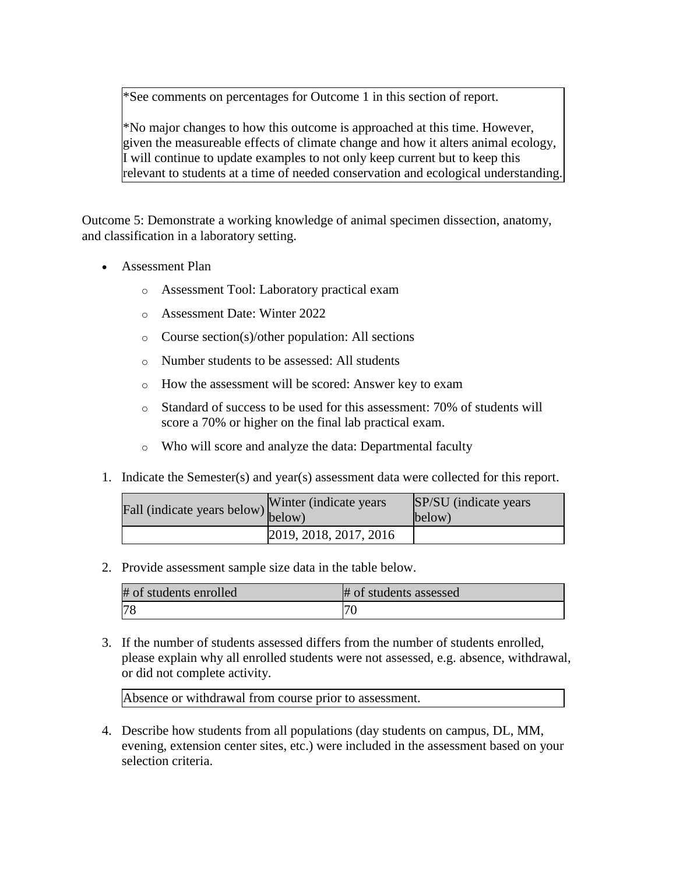\*See comments on percentages for Outcome 1 in this section of report.

\*No major changes to how this outcome is approached at this time. However, given the measureable effects of climate change and how it alters animal ecology, I will continue to update examples to not only keep current but to keep this relevant to students at a time of needed conservation and ecological understanding.

Outcome 5: Demonstrate a working knowledge of animal specimen dissection, anatomy, and classification in a laboratory setting.

- Assessment Plan
	- o Assessment Tool: Laboratory practical exam
	- o Assessment Date: Winter 2022
	- o Course section(s)/other population: All sections
	- o Number students to be assessed: All students
	- o How the assessment will be scored: Answer key to exam
	- o Standard of success to be used for this assessment: 70% of students will score a 70% or higher on the final lab practical exam.
	- o Who will score and analyze the data: Departmental faculty
- 1. Indicate the Semester(s) and year(s) assessment data were collected for this report.

| Fall (indicate years below) below) | Winter (indicate years) | SP/SU (indicate years)<br>below) |
|------------------------------------|-------------------------|----------------------------------|
|                                    | 2019, 2018, 2017, 2016  |                                  |

2. Provide assessment sample size data in the table below.

| # of students enrolled | # of students assessed |
|------------------------|------------------------|
| 78                     |                        |

3. If the number of students assessed differs from the number of students enrolled, please explain why all enrolled students were not assessed, e.g. absence, withdrawal, or did not complete activity.

Absence or withdrawal from course prior to assessment.

4. Describe how students from all populations (day students on campus, DL, MM, evening, extension center sites, etc.) were included in the assessment based on your selection criteria.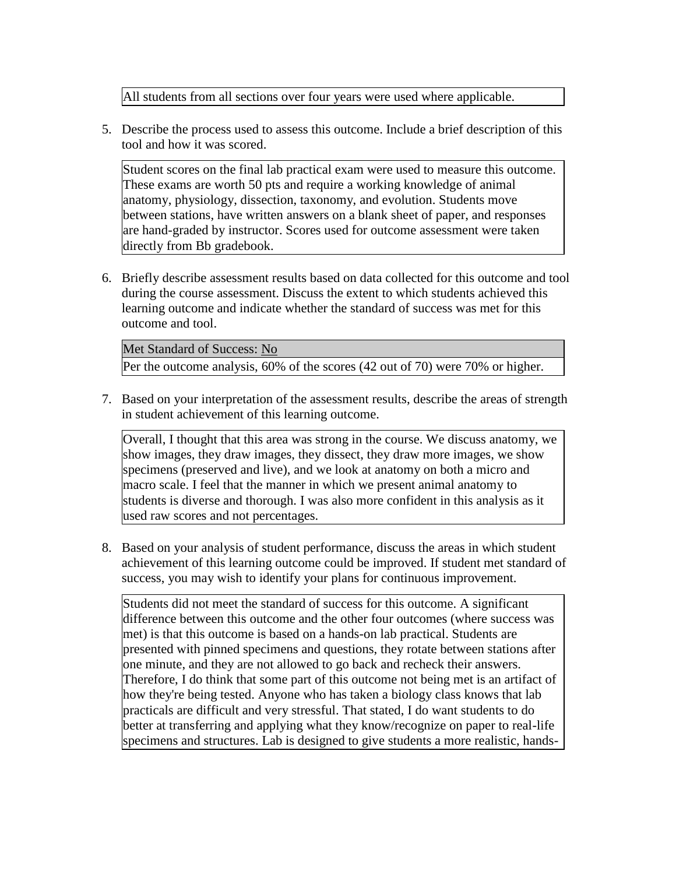All students from all sections over four years were used where applicable.

5. Describe the process used to assess this outcome. Include a brief description of this tool and how it was scored.

Student scores on the final lab practical exam were used to measure this outcome. These exams are worth 50 pts and require a working knowledge of animal anatomy, physiology, dissection, taxonomy, and evolution. Students move between stations, have written answers on a blank sheet of paper, and responses are hand-graded by instructor. Scores used for outcome assessment were taken directly from Bb gradebook.

6. Briefly describe assessment results based on data collected for this outcome and tool during the course assessment. Discuss the extent to which students achieved this learning outcome and indicate whether the standard of success was met for this outcome and tool.

Met Standard of Success: No Per the outcome analysis, 60% of the scores (42 out of 70) were 70% or higher.

7. Based on your interpretation of the assessment results, describe the areas of strength in student achievement of this learning outcome.

Overall, I thought that this area was strong in the course. We discuss anatomy, we show images, they draw images, they dissect, they draw more images, we show specimens (preserved and live), and we look at anatomy on both a micro and macro scale. I feel that the manner in which we present animal anatomy to students is diverse and thorough. I was also more confident in this analysis as it used raw scores and not percentages.

8. Based on your analysis of student performance, discuss the areas in which student achievement of this learning outcome could be improved. If student met standard of success, you may wish to identify your plans for continuous improvement.

Students did not meet the standard of success for this outcome. A significant difference between this outcome and the other four outcomes (where success was met) is that this outcome is based on a hands-on lab practical. Students are presented with pinned specimens and questions, they rotate between stations after one minute, and they are not allowed to go back and recheck their answers. Therefore, I do think that some part of this outcome not being met is an artifact of how they're being tested. Anyone who has taken a biology class knows that lab practicals are difficult and very stressful. That stated, I do want students to do better at transferring and applying what they know/recognize on paper to real-life specimens and structures. Lab is designed to give students a more realistic, hands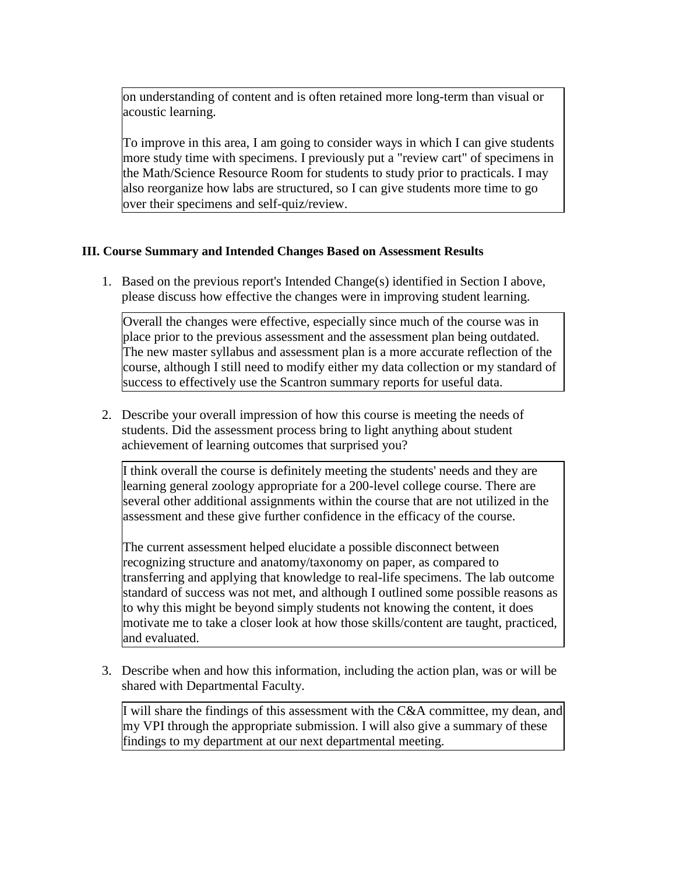on understanding of content and is often retained more long-term than visual or acoustic learning.

To improve in this area, I am going to consider ways in which I can give students more study time with specimens. I previously put a "review cart" of specimens in the Math/Science Resource Room for students to study prior to practicals. I may also reorganize how labs are structured, so I can give students more time to go over their specimens and self-quiz/review.

## **III. Course Summary and Intended Changes Based on Assessment Results**

1. Based on the previous report's Intended Change(s) identified in Section I above, please discuss how effective the changes were in improving student learning.

Overall the changes were effective, especially since much of the course was in place prior to the previous assessment and the assessment plan being outdated. The new master syllabus and assessment plan is a more accurate reflection of the course, although I still need to modify either my data collection or my standard of success to effectively use the Scantron summary reports for useful data.

2. Describe your overall impression of how this course is meeting the needs of students. Did the assessment process bring to light anything about student achievement of learning outcomes that surprised you?

I think overall the course is definitely meeting the students' needs and they are learning general zoology appropriate for a 200-level college course. There are several other additional assignments within the course that are not utilized in the assessment and these give further confidence in the efficacy of the course.

The current assessment helped elucidate a possible disconnect between recognizing structure and anatomy/taxonomy on paper, as compared to transferring and applying that knowledge to real-life specimens. The lab outcome standard of success was not met, and although I outlined some possible reasons as to why this might be beyond simply students not knowing the content, it does motivate me to take a closer look at how those skills/content are taught, practiced, and evaluated.

3. Describe when and how this information, including the action plan, was or will be shared with Departmental Faculty.

I will share the findings of this assessment with the C&A committee, my dean, and my VPI through the appropriate submission. I will also give a summary of these findings to my department at our next departmental meeting.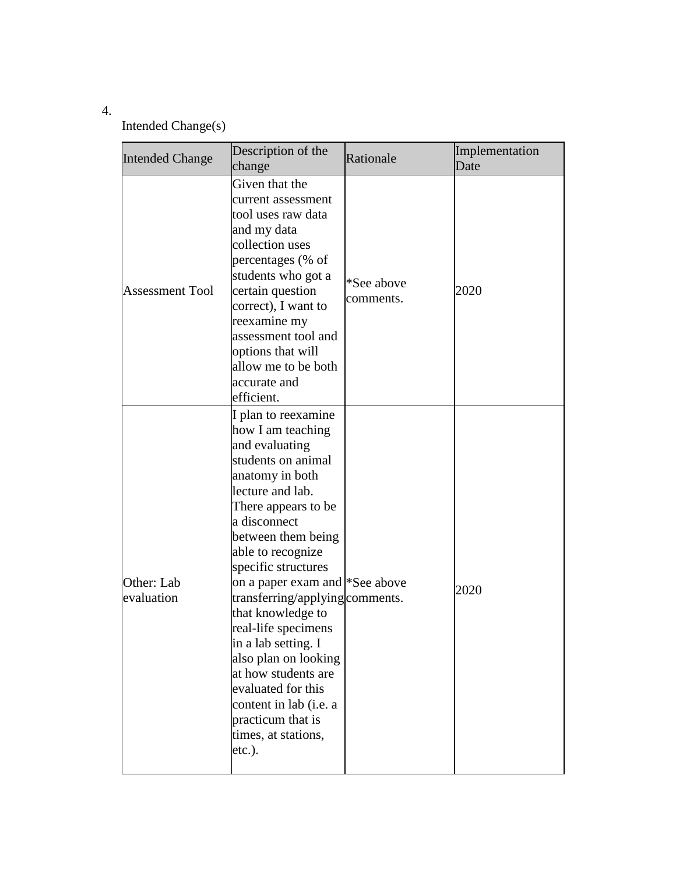## 4.

# Intended Change(s)

| <b>Intended Change</b>   | Description of the<br>change                                                                                                                                                                                                                                                                                                                                                                                                                                                                                                                 | Rationale               | Implementation<br>Date |
|--------------------------|----------------------------------------------------------------------------------------------------------------------------------------------------------------------------------------------------------------------------------------------------------------------------------------------------------------------------------------------------------------------------------------------------------------------------------------------------------------------------------------------------------------------------------------------|-------------------------|------------------------|
| <b>Assessment Tool</b>   | Given that the<br>current assessment<br>tool uses raw data<br>and my data<br>collection uses<br>percentages (% of<br>students who got a<br>certain question<br>correct), I want to<br>reexamine my<br>assessment tool and<br>options that will<br>allow me to be both<br>accurate and<br>efficient.                                                                                                                                                                                                                                          | *See above<br>comments. | 2020                   |
| Other: Lab<br>evaluation | I plan to reexamine<br>how I am teaching<br>and evaluating<br>students on animal<br>anatomy in both<br>lecture and lab.<br>There appears to be<br>a disconnect<br>between them being<br>able to recognize<br>specific structures<br>on a paper exam and <sup>*</sup> See above<br>transferring/applying comments.<br>that knowledge to<br>real-life specimens<br>in a lab setting. I<br>also plan on looking<br>at how students are<br>evaluated for this<br>content in lab (i.e. a<br>practicum that is<br>times, at stations,<br>$etc.$ ). |                         | 2020                   |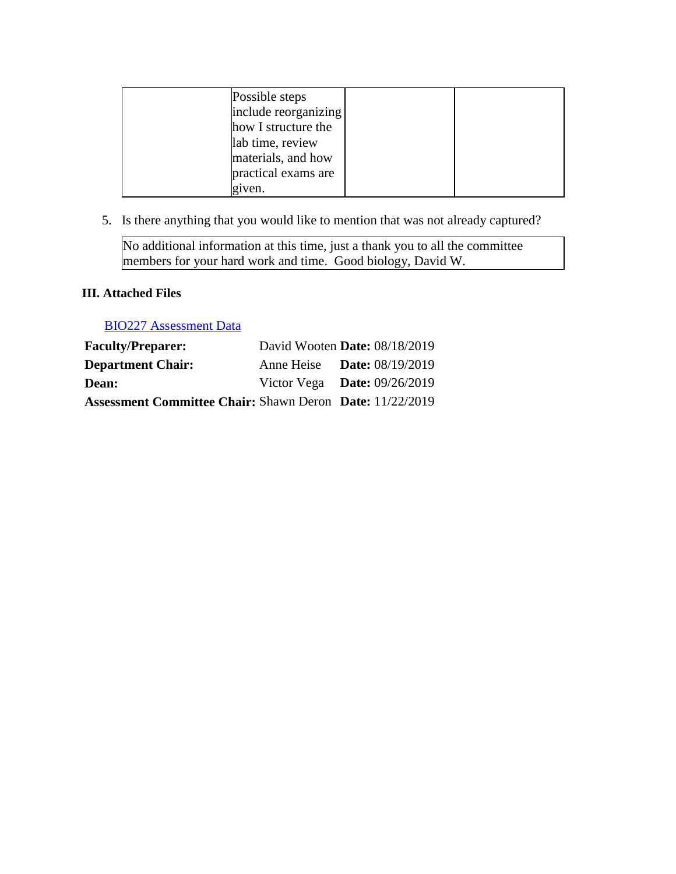| Possible steps<br>include reorganizing                        |  |
|---------------------------------------------------------------|--|
| how I structure the<br>lab time, review<br>materials, and how |  |
| practical exams are<br>given.                                 |  |

5. Is there anything that you would like to mention that was not already captured?

No additional information at this time, just a thank you to all the committee members for your hard work and time. Good biology, David W.

# **III. Attached Files**

[BIO227 Assessment Data](documents/BIO227%20Assessment%202019.xlsx)

| <b>Faculty/Preparer:</b>                                        | David Wooten Date: $08/18/2019$    |  |
|-----------------------------------------------------------------|------------------------------------|--|
| <b>Department Chair:</b>                                        | Anne Heise <b>Date:</b> 08/19/2019 |  |
| Dean:                                                           | Victor Vega Date: $09/26/2019$     |  |
| <b>Assessment Committee Chair: Shawn Deron Date: 11/22/2019</b> |                                    |  |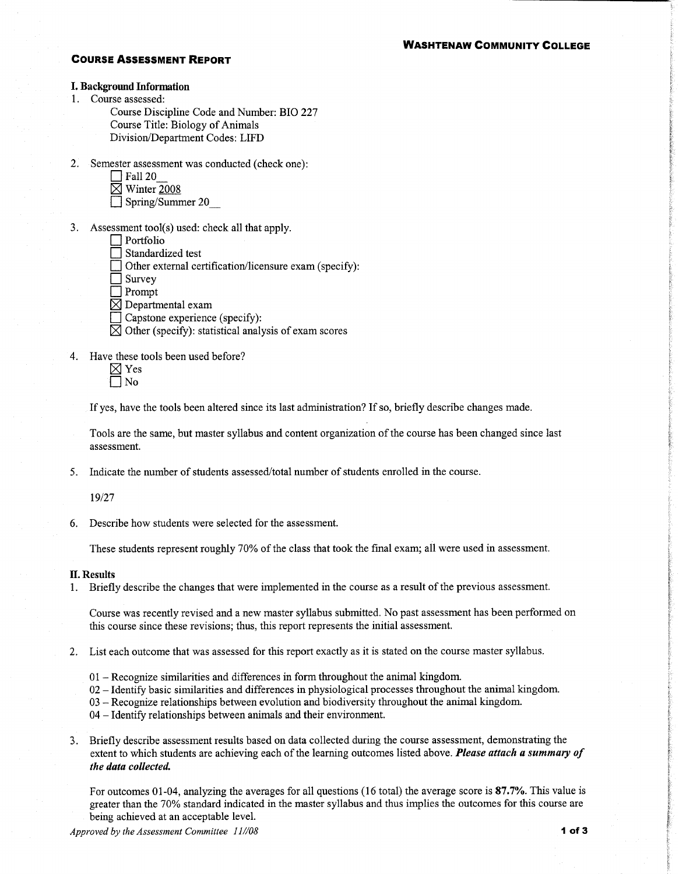#### **WASHTENAW COMMUNITY COLLEGE**

#### **COURSE ASSESSMENT REPORT**

#### **I. Background Information**

1. Course assessed:

Course Discipline Code and Number: BIO 227 Course Title: Biology of Animals Division/Department Codes: LIFD

- 2. Semester assessment was conducted (check one):
	- $\Box$  Fall 20
	- $\boxtimes$  Winter 2008
	- $\Box$  Spring/Summer 20
- 3. Assessment tool(s) used: check all that apply.
	- $\Box$  Portfolio
	- Standardized test
	- Other external certification/licensure exam (specify):
	- $\Box$  Survey
	- $\Box$  Prompt
	- $\boxtimes$  Departmental exam
	- Capstone experience (specify):
	- $\boxtimes$  Other (specify): statistical analysis of exam scores
- 4. Have these tools been used before?

If yes, have the tools been altered since its last administration? If so, briefly describe changes made.

Tools are the same, but master syllabus and content organization of the course has been changed since last assessment.

5. Indicate the number of students assessed/total number of students enrolled in the course.

19/27

6. Describe how students were selected for the assessment.

These students represent roughly 70% of the class that took the final exam; all were used in assessment.

#### **II. Results**

1. Briefly describe the changes that were implemented in the course as a result of the previous assessment.

Course was recently revised and a new master syllabus submitted. No past assessment has been performed on this course since these revisions; thus, this report represents the initial assessment.

- 2. List each outcome that was assessed for this report exactly as it is stated on the course master syllabus.
	- $01$  Recognize similarities and differences in form throughout the animal kingdom.
	- 02 Identify basic similarities and differences in physiological processes throughout the animal kingdom.
	- $03$  Recognize relationships between evolution and biodiversity throughout the animal kingdom.
	- 04 Identify relationships between animals and their environment.
- 3. Briefly describe assessment results based on data collected during the course assessment, demonstrating the extent to which students are achieving each of the learning outcomes listed above. Please attach a summary of the data collected.

For outcomes 01-04, analyzing the averages for all questions (16 total) the average score is 87.7%. This value is greater than the 70% standard indicated in the master syllabus and thus implies the outcomes for this course are being achieved at an acceptable level.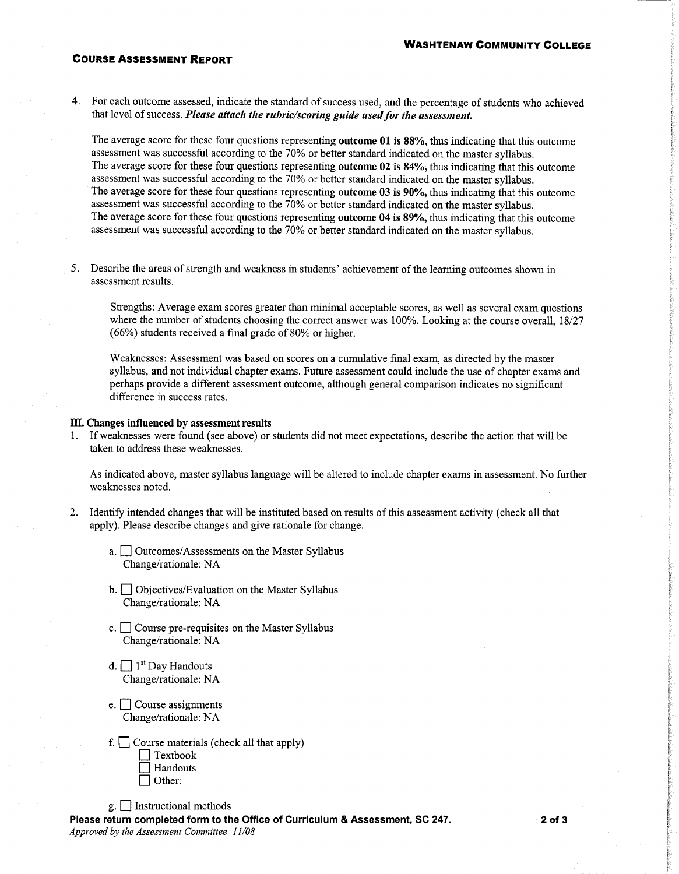#### **COURSE ASSESSMENT REPORT**

4. For each outcome assessed, indicate the standard of success used, and the percentage of students who achieved that level of success. Please attach the rubric/scoring guide used for the assessment.

The average score for these four questions representing outcome 01 is 88%, thus indicating that this outcome assessment was successful according to the 70% or better standard indicated on the master syllabus. The average score for these four questions representing outcome 02 is 84%, thus indicating that this outcome assessment was successful according to the 70% or better standard indicated on the master syllabus. The average score for these four questions representing **outcome 03 is 90%**, thus indicating that this outcome assessment was successful according to the 70% or better standard indicated on the master syllabus. The average score for these four questions representing outcome 04 is 89%, thus indicating that this outcome assessment was successful according to the 70% or better standard indicated on the master syllabus.

5. Describe the areas of strength and weakness in students' achievement of the learning outcomes shown in assessment results.

Strengths: Average exam scores greater than minimal acceptable scores, as well as several exam questions where the number of students choosing the correct answer was 100%. Looking at the course overall, 18/27 (66%) students received a final grade of 80% or higher.

Weaknesses: Assessment was based on scores on a cumulative final exam, as directed by the master syllabus, and not individual chapter exams. Future assessment could include the use of chapter exams and perhaps provide a different assessment outcome, although general comparison indicates no significant difference in success rates.

#### III. Changes influenced by assessment results

1. If weaknesses were found (see above) or students did not meet expectations, describe the action that will be taken to address these weaknesses.

As indicated above, master syllabus language will be altered to include chapter exams in assessment. No further weaknesses noted.

- 2. Identify intended changes that will be instituted based on results of this assessment activity (check all that apply). Please describe changes and give rationale for change.
	- a. Outcomes/Assessments on the Master Syllabus Change/rationale: NA
	- b. Objectives/Evaluation on the Master Syllabus Change/rationale: NA
	- c.  $\Box$  Course pre-requisites on the Master Syllabus Change/rationale: NA
	- d.  $\Box$  1<sup>st</sup> Day Handouts Change/rationale: NA
	- $e.$  Course assignments Change/rationale: NA
	- f.  $\Box$  Course materials (check all that apply)  $\exists$  Textbook Handouts Other:

 $g.$  Instructional methods

Please return completed form to the Office of Curriculum & Assessment, SC 247. Approved by the Assessment Committee 11/08

 $2$  of  $3$